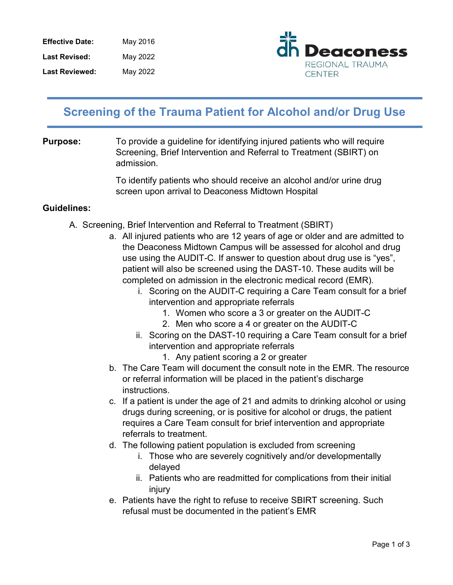| <b>Effective Date:</b> | May 2016 |
|------------------------|----------|
| <b>Last Revised:</b>   | May 2022 |
| <b>Last Reviewed:</b>  | May 2022 |



## Screening of the Trauma Patient for Alcohol and/or Drug Use

**Purpose:** To provide a guideline for identifying injured patients who will require Screening, Brief Intervention and Referral to Treatment (SBIRT) on admission.

> To identify patients who should receive an alcohol and/or urine drug screen upon arrival to Deaconess Midtown Hospital

## Guidelines:

- A. Screening, Brief Intervention and Referral to Treatment (SBIRT)
	- a. All injured patients who are 12 years of age or older and are admitted to the Deaconess Midtown Campus will be assessed for alcohol and drug use using the AUDIT-C. If answer to question about drug use is "yes", patient will also be screened using the DAST-10. These audits will be completed on admission in the electronic medical record (EMR).
		- i. Scoring on the AUDIT-C requiring a Care Team consult for a brief intervention and appropriate referrals
			- 1. Women who score a 3 or greater on the AUDIT-C
			- 2. Men who score a 4 or greater on the AUDIT-C
		- ii. Scoring on the DAST-10 requiring a Care Team consult for a brief intervention and appropriate referrals
			- 1. Any patient scoring a 2 or greater
	- b. The Care Team will document the consult note in the EMR. The resource or referral information will be placed in the patient's discharge instructions.
	- c. If a patient is under the age of 21 and admits to drinking alcohol or using drugs during screening, or is positive for alcohol or drugs, the patient requires a Care Team consult for brief intervention and appropriate referrals to treatment.
	- d. The following patient population is excluded from screening
		- i. Those who are severely cognitively and/or developmentally delayed
		- ii. Patients who are readmitted for complications from their initial injury
	- e. Patients have the right to refuse to receive SBIRT screening. Such refusal must be documented in the patient's EMR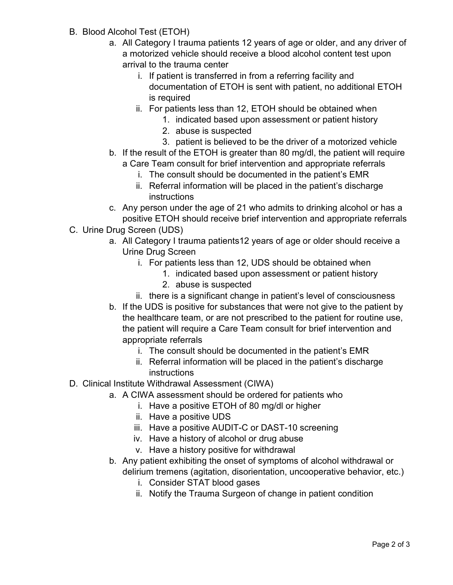- B. Blood Alcohol Test (ETOH)
	- a. All Category I trauma patients 12 years of age or older, and any driver of a motorized vehicle should receive a blood alcohol content test upon arrival to the trauma center
		- i. If patient is transferred in from a referring facility and documentation of ETOH is sent with patient, no additional ETOH is required
		- ii. For patients less than 12, ETOH should be obtained when
			- 1. indicated based upon assessment or patient history
			- 2. abuse is suspected
			- 3. patient is believed to be the driver of a motorized vehicle
	- b. If the result of the ETOH is greater than 80 mg/dl, the patient will require a Care Team consult for brief intervention and appropriate referrals
		- i. The consult should be documented in the patient's EMR
		- ii. Referral information will be placed in the patient's discharge instructions
	- c. Any person under the age of 21 who admits to drinking alcohol or has a positive ETOH should receive brief intervention and appropriate referrals
- C. Urine Drug Screen (UDS)
	- a. All Category I trauma patients12 years of age or older should receive a Urine Drug Screen
		- i. For patients less than 12, UDS should be obtained when
			- 1. indicated based upon assessment or patient history
			- 2. abuse is suspected
		- ii. there is a significant change in patient's level of consciousness
	- b. If the UDS is positive for substances that were not give to the patient by the healthcare team, or are not prescribed to the patient for routine use, the patient will require a Care Team consult for brief intervention and appropriate referrals
		- i. The consult should be documented in the patient's EMR
		- ii. Referral information will be placed in the patient's discharge instructions
- D. Clinical Institute Withdrawal Assessment (CIWA)
	- a. A CIWA assessment should be ordered for patients who
		- i. Have a positive ETOH of 80 mg/dl or higher
		- ii. Have a positive UDS
		- iii. Have a positive AUDIT-C or DAST-10 screening
		- iv. Have a history of alcohol or drug abuse
		- v. Have a history positive for withdrawal
	- b. Any patient exhibiting the onset of symptoms of alcohol withdrawal or delirium tremens (agitation, disorientation, uncooperative behavior, etc.)
		- i. Consider STAT blood gases
		- ii. Notify the Trauma Surgeon of change in patient condition